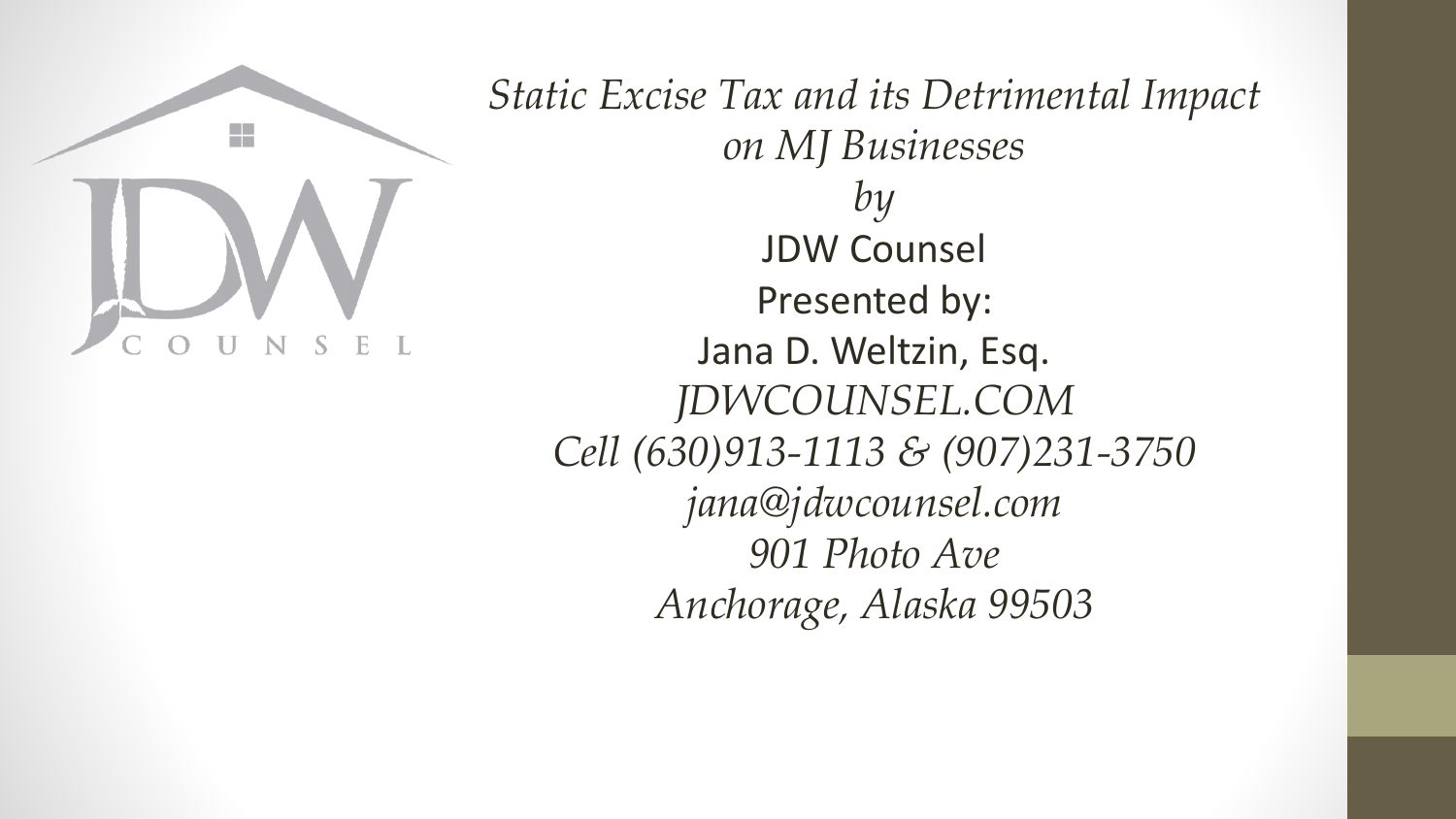

*Static Excise Tax and its Detrimental Impact on MJ Businesses by* JDW Counsel Presented by: Jana D. Weltzin, Esq. *JDWCOUNSEL.COM Cell (630)913-1113 & (907)231-3750 jana@jdwcounsel.com 901 Photo Ave Anchorage, Alaska 99503*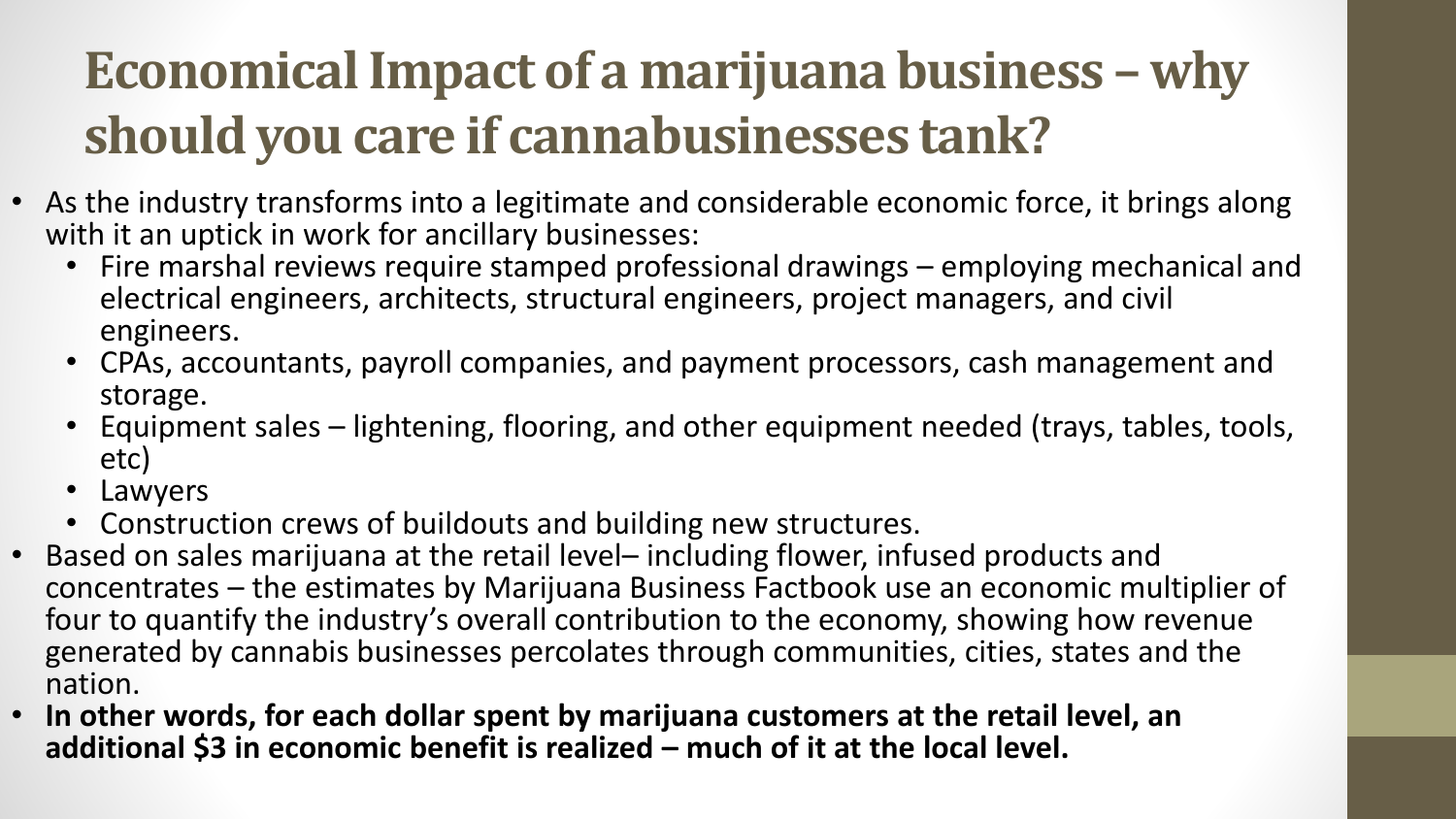### **Economical Impact of a marijuana business – why should you care if cannabusinesses tank?**

- As the industry transforms into a legitimate and considerable economic force, it brings along with it an uptick in work for ancillary businesses:
	- Fire marshal reviews require stamped professional drawings employing mechanical and electrical engineers, architects, structural engineers, project managers, and civil engineers.
	- CPAs, accountants, payroll companies, and payment processors, cash management and storage.
	- Equipment sales lightening, flooring, and other equipment needed (trays, tables, tools, etc)
	- Lawyers
	- Construction crews of buildouts and building new structures.
- Based on sales marijuana at the retail level– including flower, infused products and concentrates – the estimates by Marijuana Business Factbook use an economic multiplier of four to quantify the industry's overall contribution to the economy, showing how revenue generated by cannabis businesses percolates through communities, cities, states and the nation.
- **In other words, for each dollar spent by marijuana customers at the retail level, an additional \$3 in economic benefit is realized – much of it at the local level.**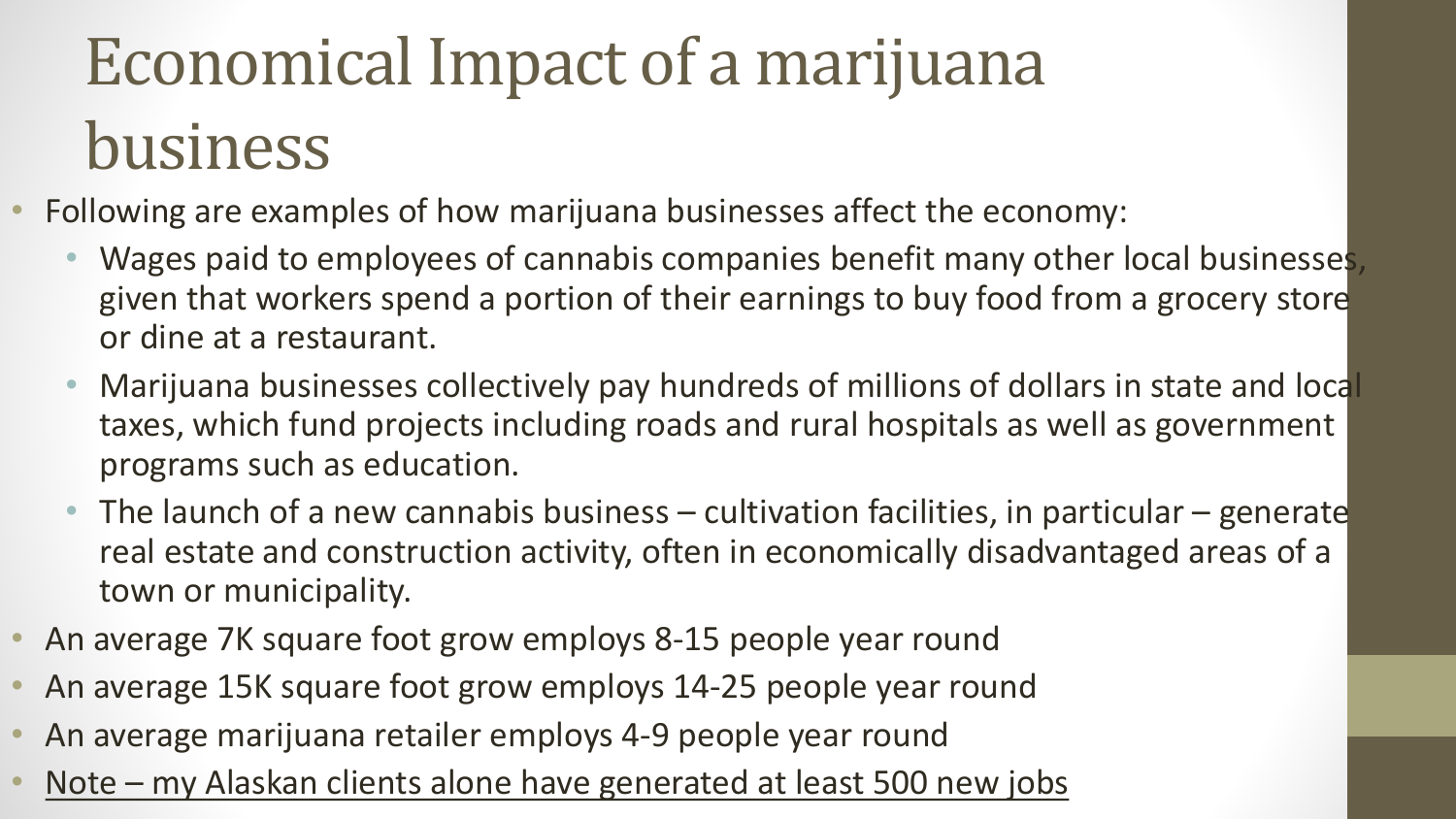# Economical Impact of a marijuana business

- Following are examples of how marijuana businesses affect the economy:
	- Wages paid to employees of cannabis companies benefit many other local businesses, given that workers spend a portion of their earnings to buy food from a grocery store or dine at a restaurant.
	- Marijuana businesses collectively pay hundreds of millions of dollars in state and local taxes, which fund projects including roads and rural hospitals as well as government programs such as education.
	- The launch of a new cannabis business cultivation facilities, in particular generate real estate and construction activity, often in economically disadvantaged areas of a town or municipality.
- An average 7K square foot grow employs 8-15 people year round
- An average 15K square foot grow employs 14-25 people year round
- An average marijuana retailer employs 4-9 people year round
- Note my Alaskan clients alone have generated at least 500 new jobs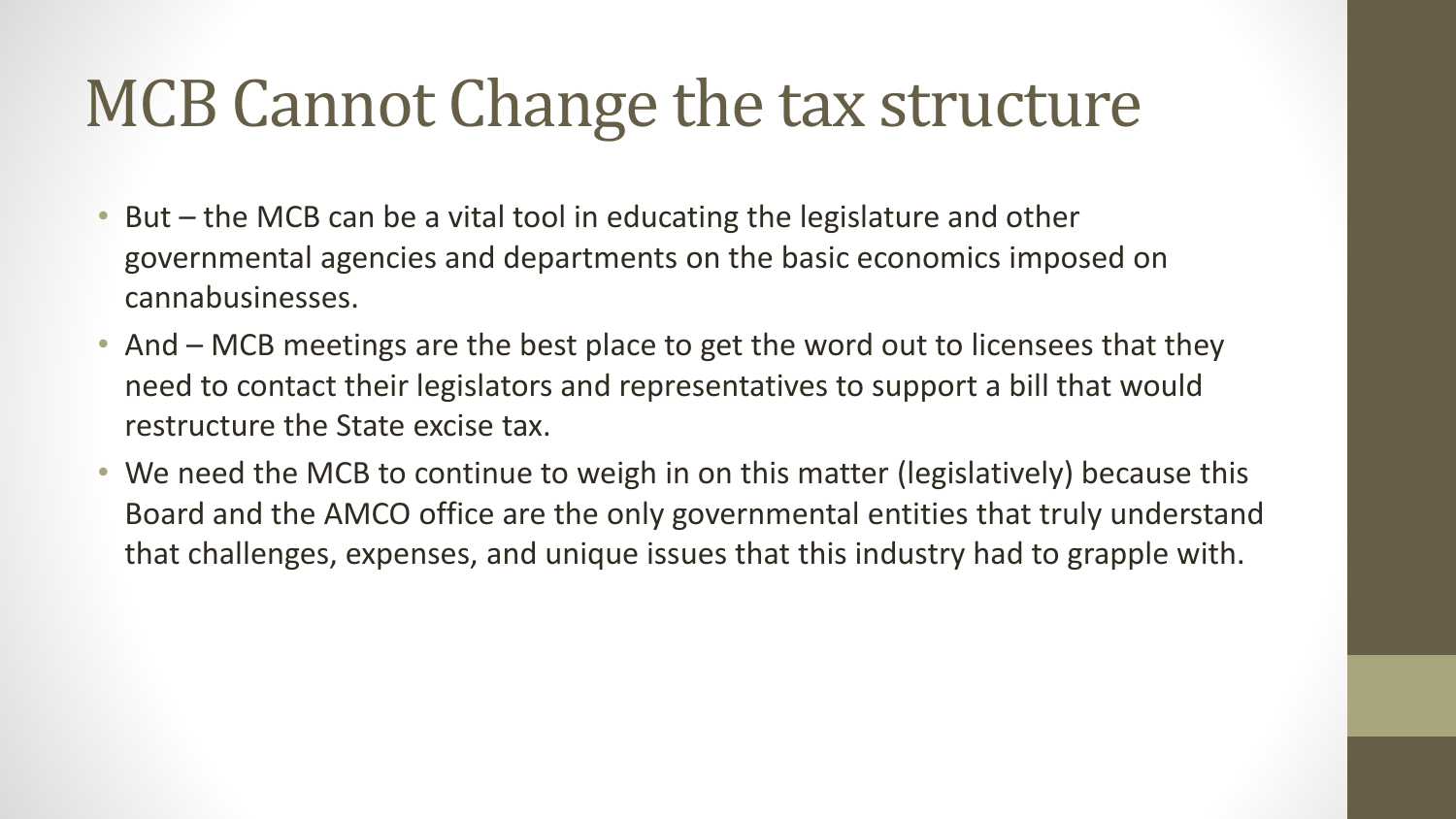### MCB Cannot Change the tax structure

- But the MCB can be a vital tool in educating the legislature and other governmental agencies and departments on the basic economics imposed on cannabusinesses.
- And MCB meetings are the best place to get the word out to licensees that they need to contact their legislators and representatives to support a bill that would restructure the State excise tax.
- We need the MCB to continue to weigh in on this matter (legislatively) because this Board and the AMCO office are the only governmental entities that truly understand that challenges, expenses, and unique issues that this industry had to grapple with.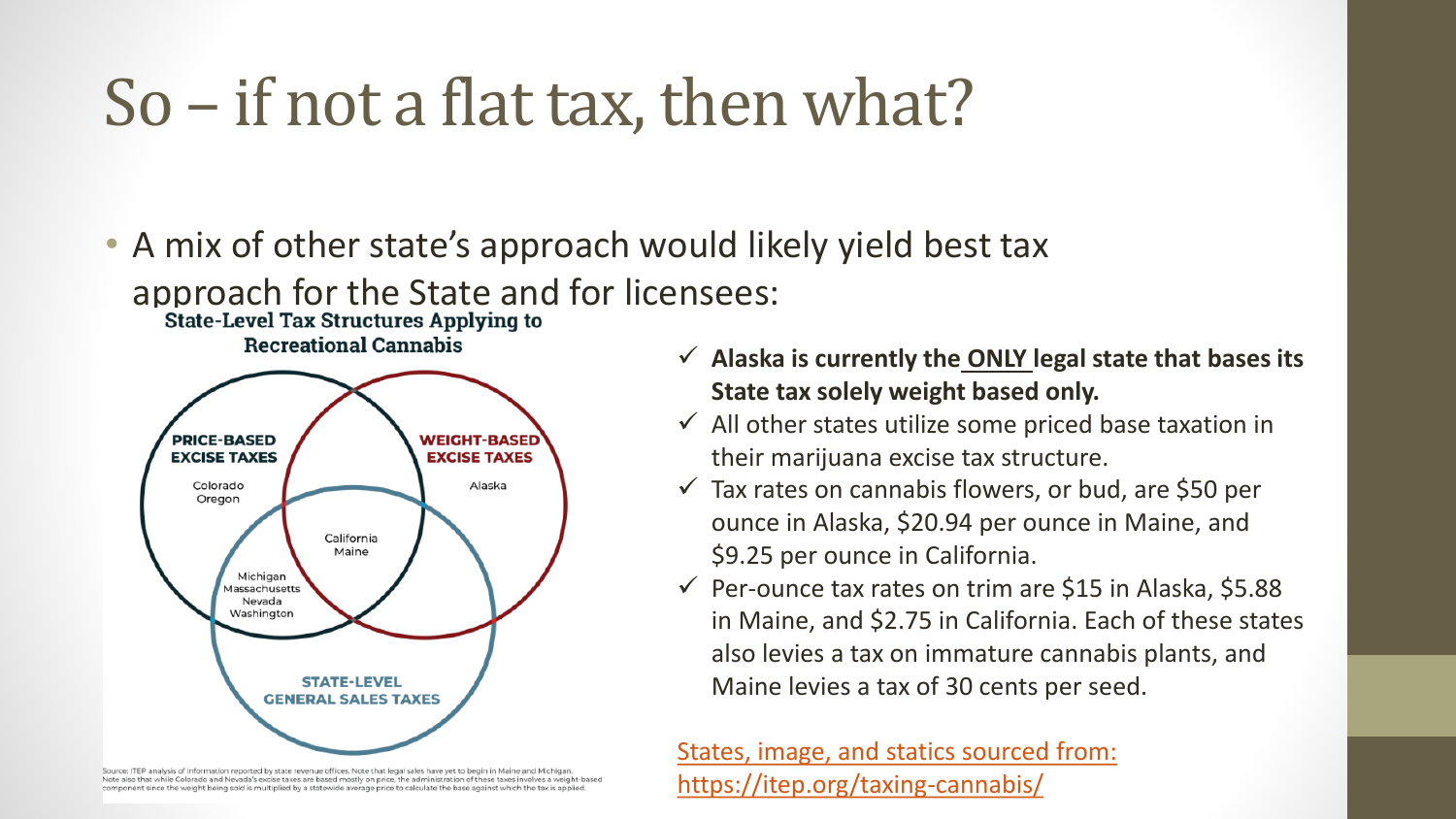### So – if not a flat tax, then what?

• A mix of other state's approach would likely yield best tax approach for the State and for licensees:<br>state-Level Tax Structures Applying to

**Recreational Cannabis** 



Source: ITEP analysis of information reported by state revenue offices. Note that legal sales have yet to begin in Maine and Michigan Note also that while Colorado and Nevada's excise taxes are based mostly on price, the administration of these taxes involves a weight-based component since the weight being sold is multiplied by a statewide average price to calculate the base against which the tax is applied.

- ✓ **Alaska is currently the ONLY legal state that bases its State tax solely weight based only.**
- $\checkmark$  All other states utilize some priced base taxation in their marijuana excise tax structure.
- $\checkmark$  Tax rates on cannabis flowers, or bud, are \$50 per ounce in Alaska, \$20.94 per ounce in Maine, and \$9.25 per ounce in California.
- $\checkmark$  Per-ounce tax rates on trim are \$15 in Alaska, \$5.88 in Maine, and \$2.75 in California. Each of these states also levies a tax on immature cannabis plants, and Maine levies a tax of 30 cents per seed.

[States, image, and statics sourced from:](https://itep.org/taxing-cannabis/)  https://itep.org/taxing-cannabis/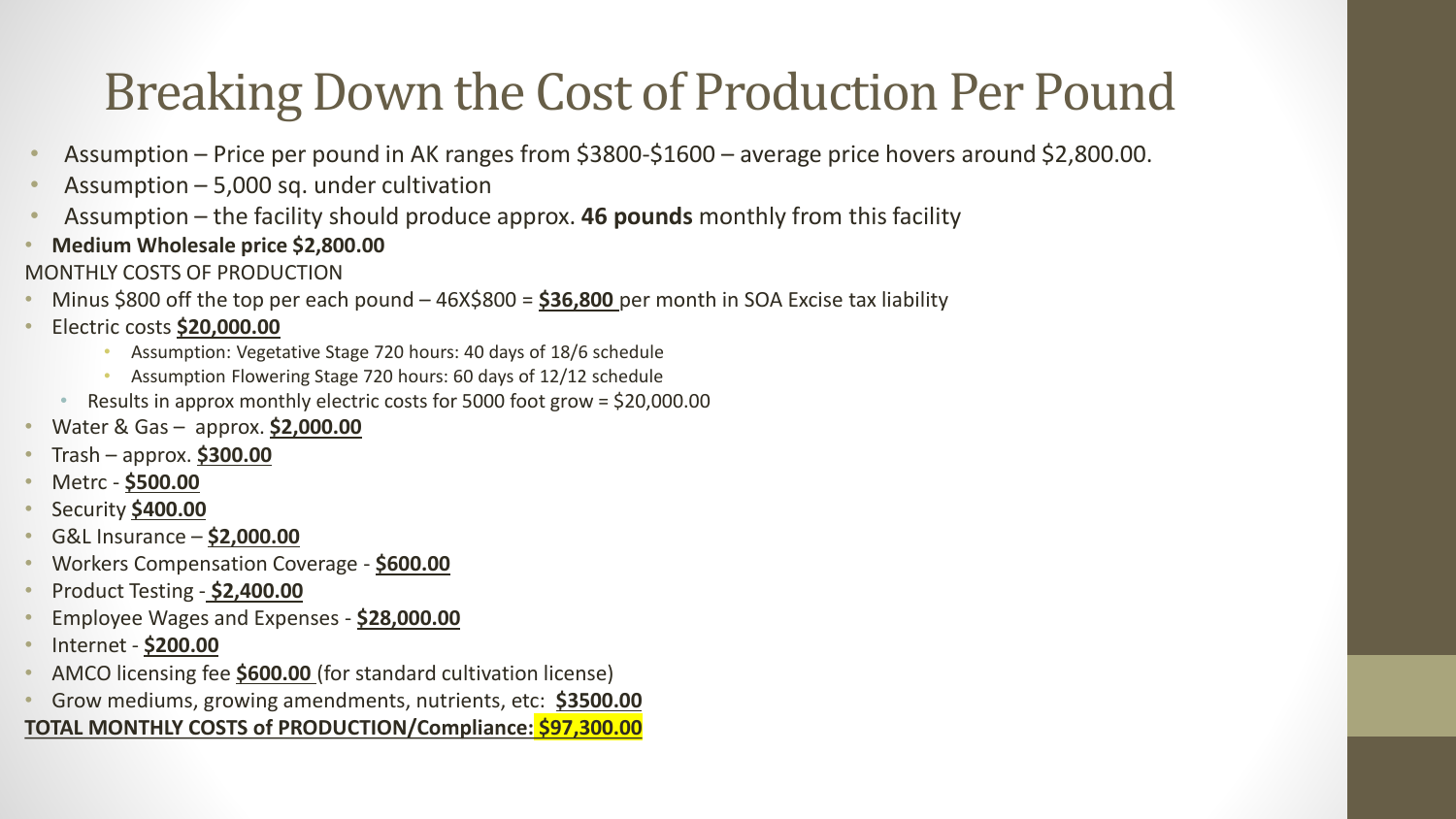### Breaking Down the Cost of Production Per Pound

- Assumption Price per pound in AK ranges from \$3800-\$1600 average price hovers around \$2,800.00.
- Assumption  $-5,000$  sq. under cultivation
- Assumption the facility should produce approx. **46 pounds** monthly from this facility
- **Medium Wholesale price \$2,800.00**
- MONTHLY COSTS OF PRODUCTION
- Minus \$800 off the top per each pound 46X\$800 = **\$36,800** per month in SOA Excise tax liability
- Electric costs **\$20,000.00**
	- Assumption: Vegetative Stage 720 hours: 40 days of 18/6 schedule
	- Assumption Flowering Stage 720 hours: 60 days of 12/12 schedule
	- Results in approx monthly electric costs for 5000 foot grow = \$20,000.00
- Water & Gas approx. **\$2,000.00**
- Trash approx. **\$300.00**
- Metrc **\$500.00**
- Security **\$400.00**
- G&L Insurance **\$2,000.00**
- Workers Compensation Coverage **\$600.00**
- Product Testing **\$2,400.00**
- Employee Wages and Expenses **\$28,000.00**
- Internet **\$200.00**
- AMCO licensing fee **\$600.00** (for standard cultivation license)
- Grow mediums, growing amendments, nutrients, etc: **\$3500.00**

#### **TOTAL MONTHLY COSTS of PRODUCTION/Compliance: \$97,300.00**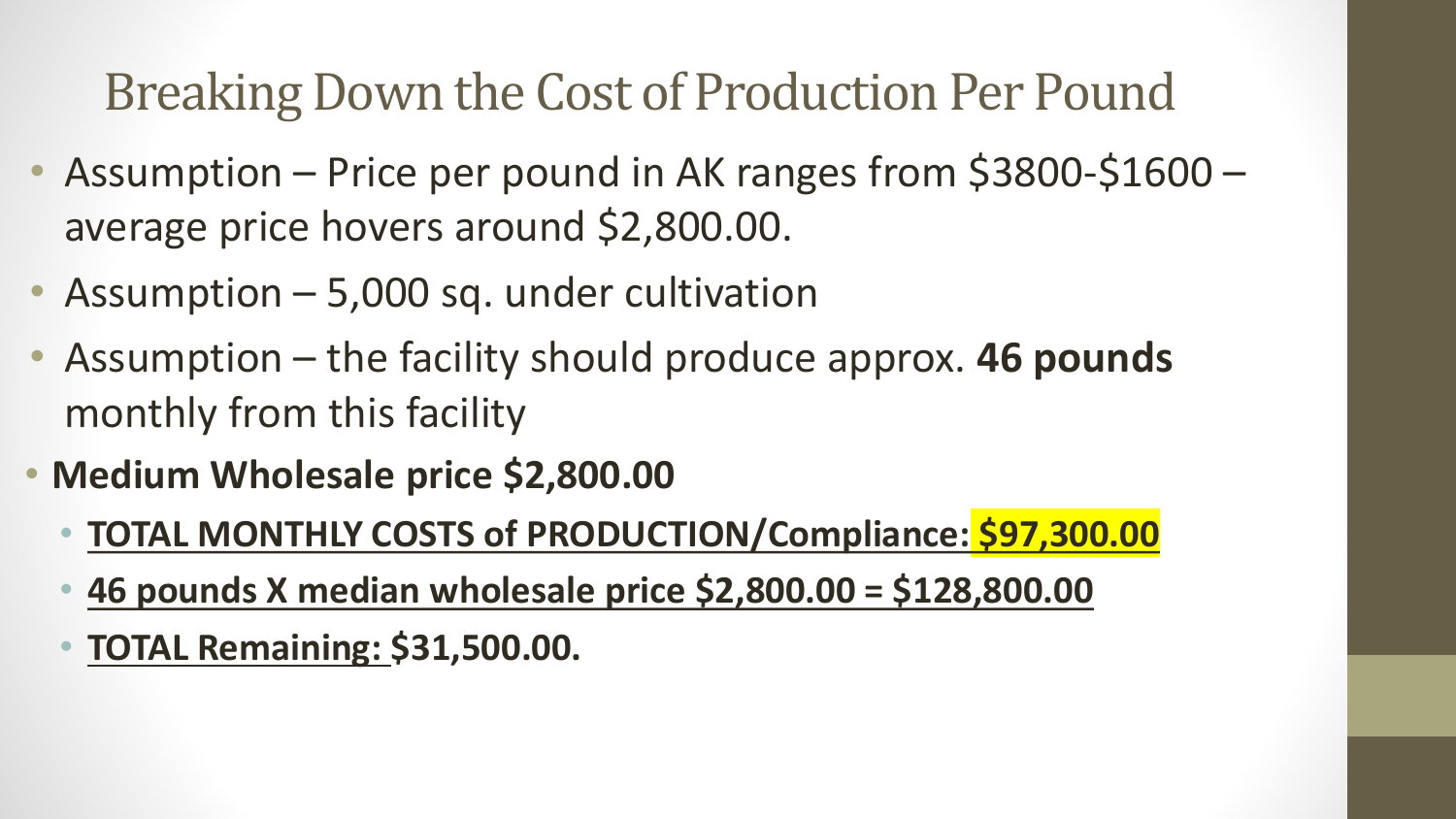#### Breaking Down the Cost of Production Per Pound

- Assumption Price per pound in AK ranges from \$3800-\$1600 average price hovers around \$2,800.00.
- Assumption 5,000 sq. under cultivation
- Assumption the facility should produce approx. **46 pounds**  monthly from this facility
- **Medium Wholesale price \$2,800.00**
	- **TOTAL MONTHLY COSTS of PRODUCTION/Compliance: \$97,300.00**
	- **46 pounds X median wholesale price \$2,800.00 = \$128,800.00**
	- **TOTAL Remaining: \$31,500.00.**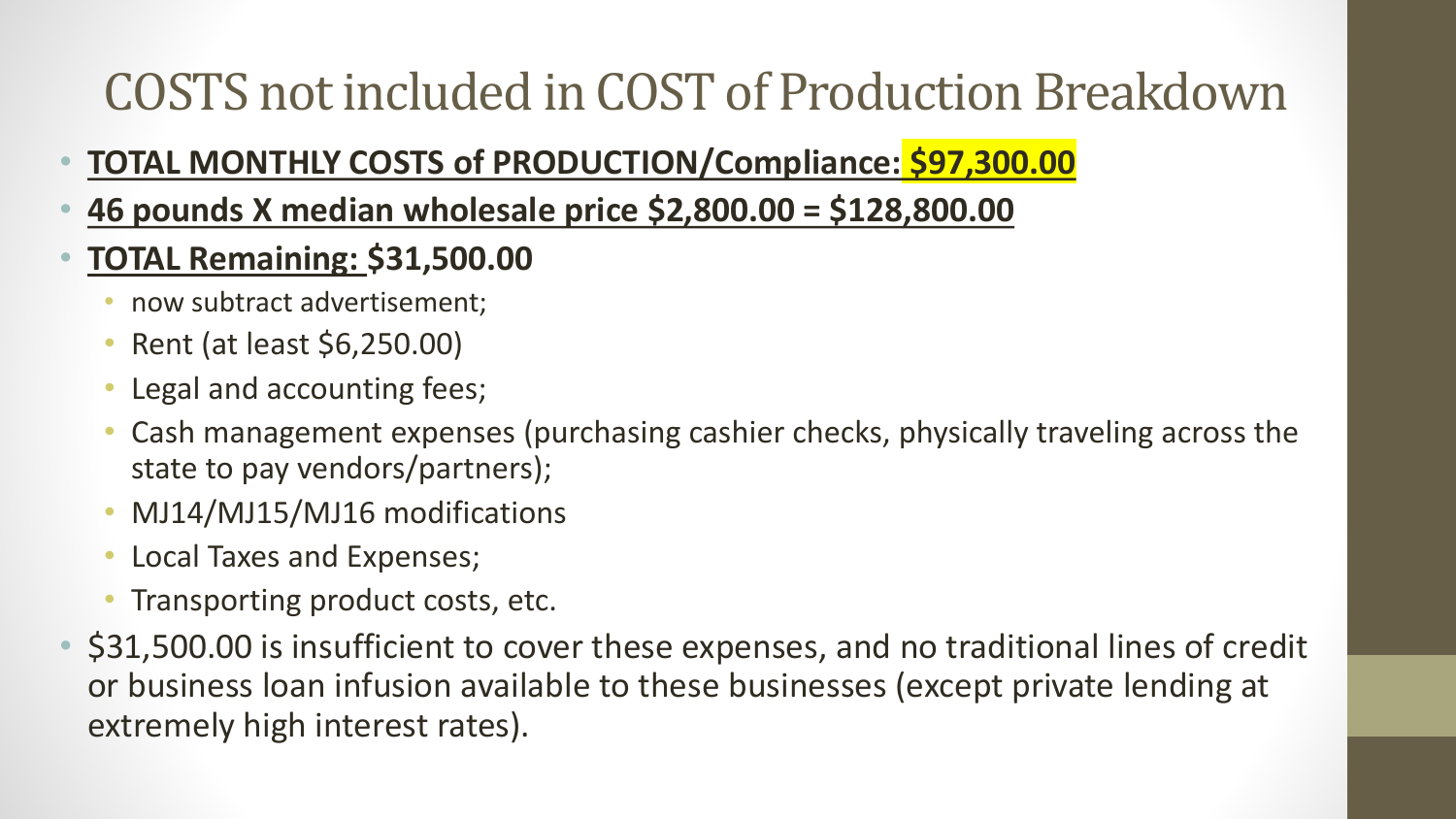### COSTS not included in COST of Production Breakdown

#### • **TOTAL MONTHLY COSTS of PRODUCTION/Compliance: \$97,300.00**

- **46 pounds X median wholesale price \$2,800.00 = \$128,800.00**
- **TOTAL Remaining: \$31,500.00** 
	- now subtract advertisement;
	- Rent (at least \$6,250.00)
	- Legal and accounting fees;
	- Cash management expenses (purchasing cashier checks, physically traveling across the state to pay vendors/partners);
	- MJ14/MJ15/MJ16 modifications
	- Local Taxes and Expenses;
	- Transporting product costs, etc.
- \$31,500.00 is insufficient to cover these expenses, and no traditional lines of credit or business loan infusion available to these businesses (except private lending at extremely high interest rates).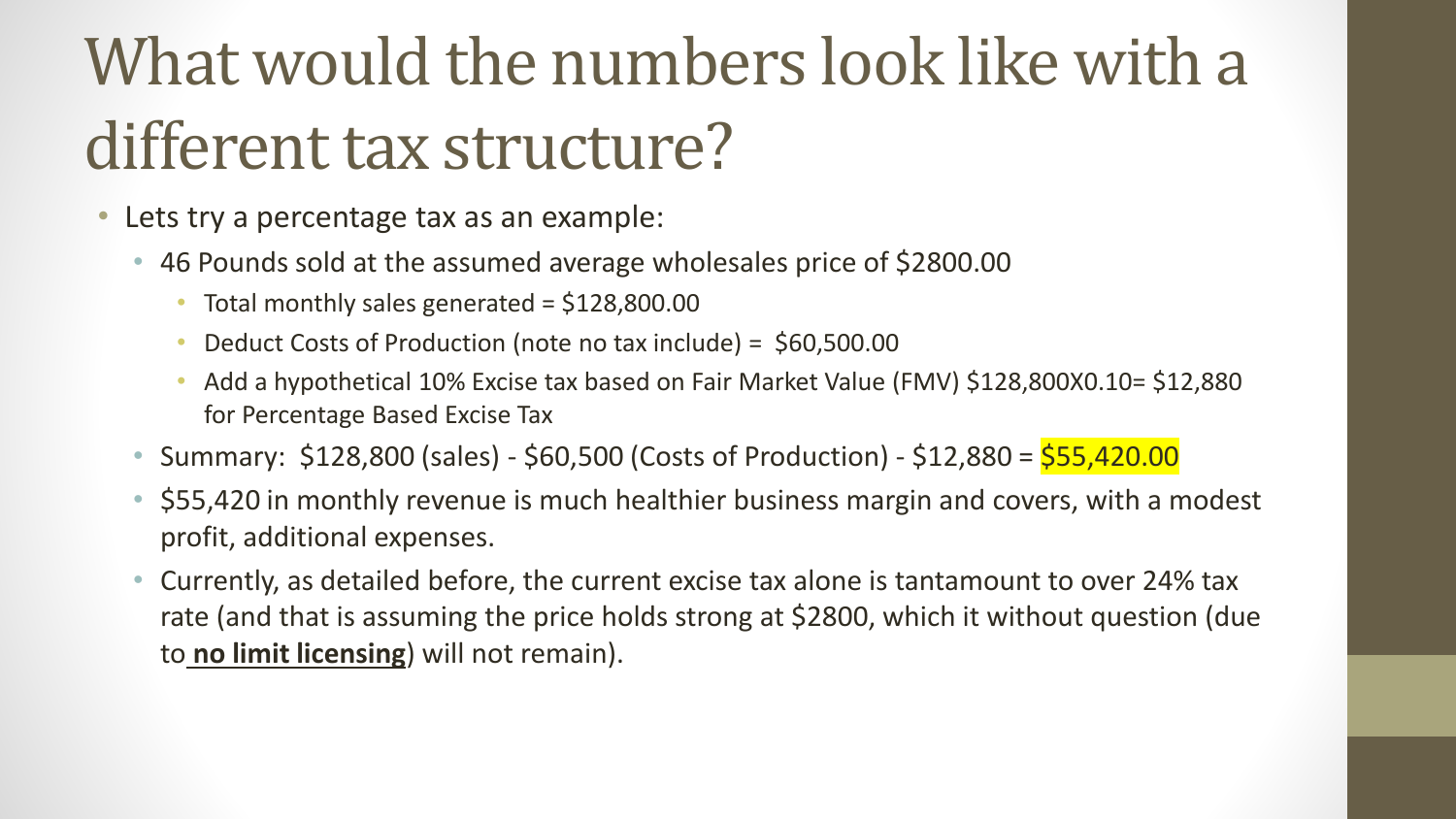## What would the numbers look like with a different tax structure?

- Lets try a percentage tax as an example:
	- 46 Pounds sold at the assumed average wholesales price of \$2800.00
		- Total monthly sales generated  $=$  \$128,800.00
		- Deduct Costs of Production (note no tax include) = \$60,500.00
		- Add a hypothetical 10% Excise tax based on Fair Market Value (FMV) \$128,800X0.10= \$12,880 for Percentage Based Excise Tax
	- Summary: \$128,800 (sales) \$60,500 (Costs of Production) \$12,880 = \$55,420.00
	- \$55,420 in monthly revenue is much healthier business margin and covers, with a modest profit, additional expenses.
	- Currently, as detailed before, the current excise tax alone is tantamount to over 24% tax rate (and that is assuming the price holds strong at \$2800, which it without question (due to **no limit licensing**) will not remain).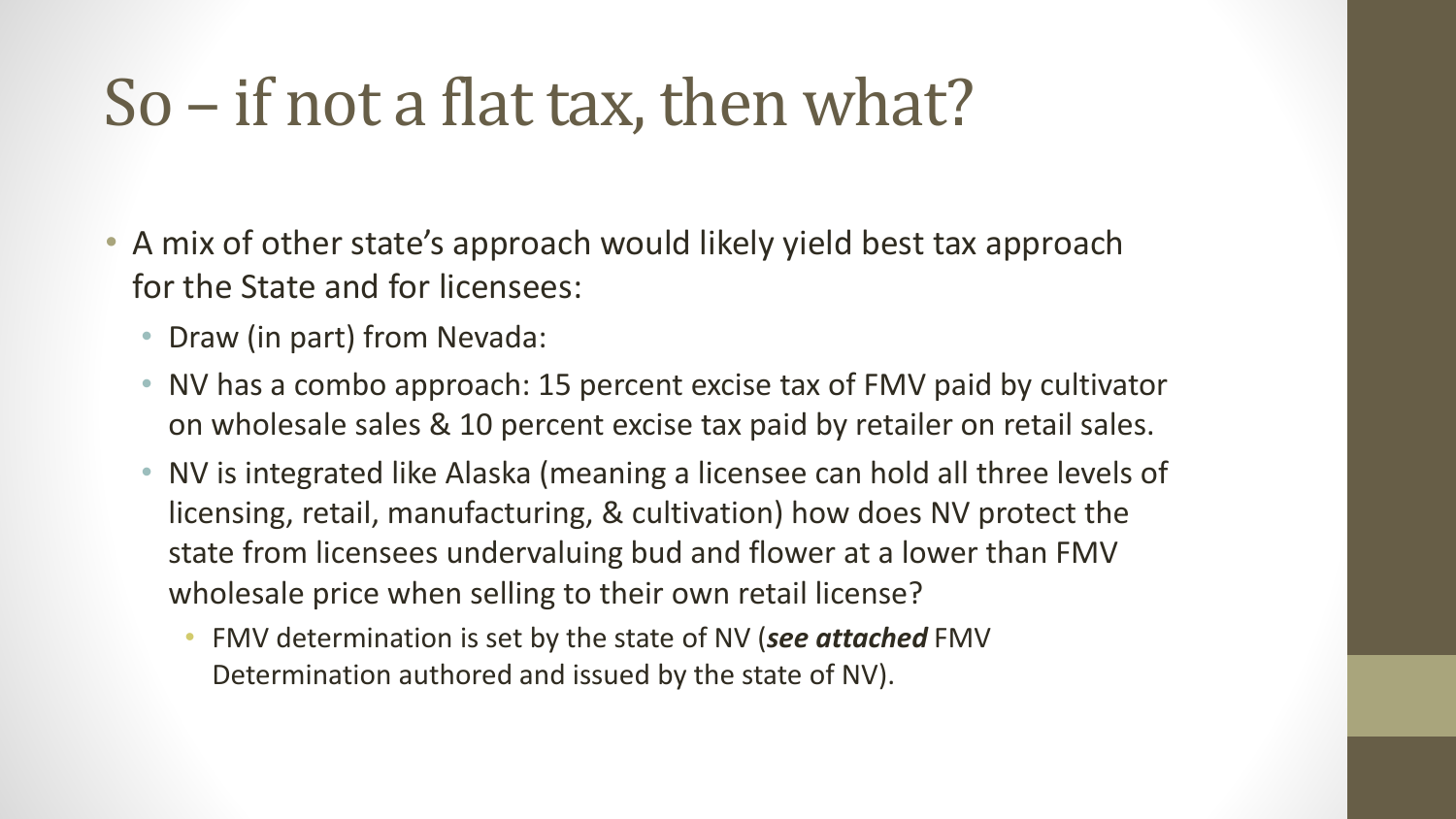### So – if not a flat tax, then what?

- A mix of other state's approach would likely yield best tax approach for the State and for licensees:
	- Draw (in part) from Nevada:
	- NV has a combo approach: 15 percent excise tax of FMV paid by cultivator on wholesale sales & 10 percent excise tax paid by retailer on retail sales.
	- NV is integrated like Alaska (meaning a licensee can hold all three levels of licensing, retail, manufacturing, & cultivation) how does NV protect the state from licensees undervaluing bud and flower at a lower than FMV wholesale price when selling to their own retail license?
		- FMV determination is set by the state of NV (*see attached* FMV Determination authored and issued by the state of NV).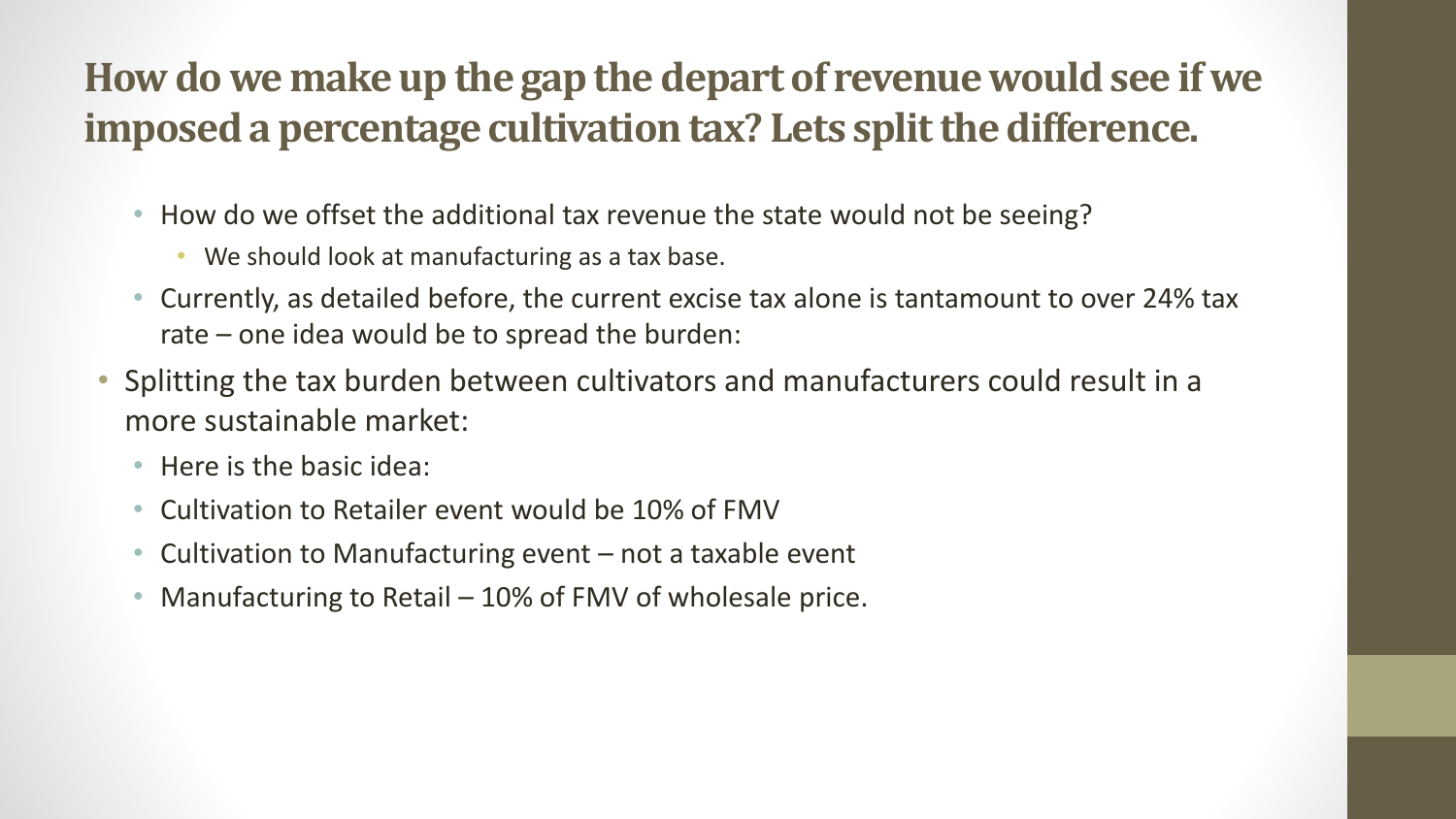#### **How do we make up the gap the depart of revenue would see if we imposed a percentage cultivation tax? Lets split the difference.**

- How do we offset the additional tax revenue the state would not be seeing?
	- We should look at manufacturing as a tax base.
- Currently, as detailed before, the current excise tax alone is tantamount to over 24% tax rate – one idea would be to spread the burden:
- Splitting the tax burden between cultivators and manufacturers could result in a more sustainable market:
	- Here is the basic idea:
	- Cultivation to Retailer event would be 10% of FMV
	- Cultivation to Manufacturing event not a taxable event
	- Manufacturing to Retail 10% of FMV of wholesale price.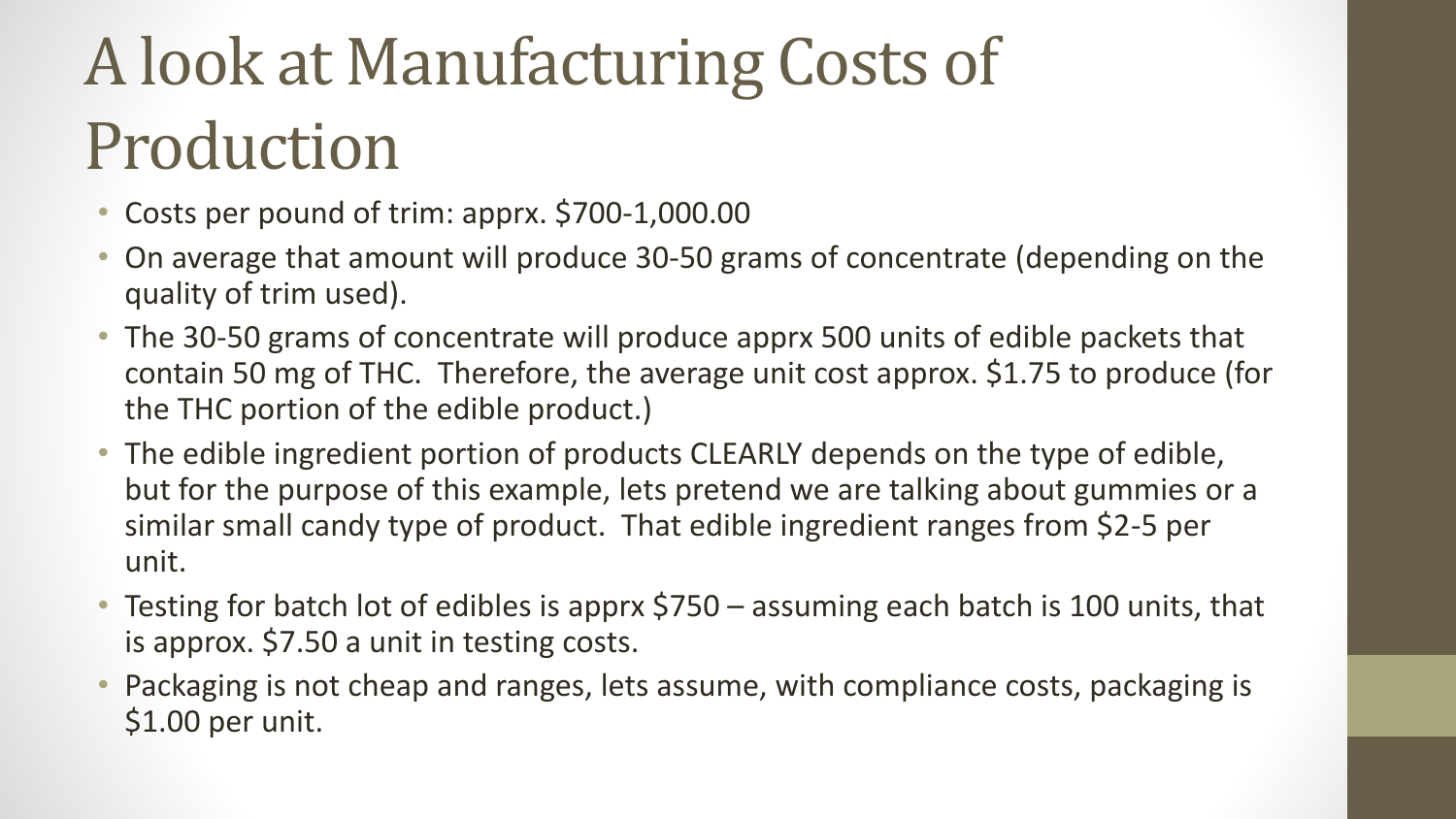# A look at Manufacturing Costs of Production

- Costs per pound of trim: apprx. \$700-1,000.00
- On average that amount will produce 30-50 grams of concentrate (depending on the quality of trim used).
- The 30-50 grams of concentrate will produce apprx 500 units of edible packets that contain 50 mg of THC. Therefore, the average unit cost approx. \$1.75 to produce (for the THC portion of the edible product.)
- The edible ingredient portion of products CLEARLY depends on the type of edible, but for the purpose of this example, lets pretend we are talking about gummies or a similar small candy type of product. That edible ingredient ranges from \$2-5 per unit.
- Testing for batch lot of edibles is apprx \$750 assuming each batch is 100 units, that is approx. \$7.50 a unit in testing costs.
- Packaging is not cheap and ranges, lets assume, with compliance costs, packaging is \$1.00 per unit.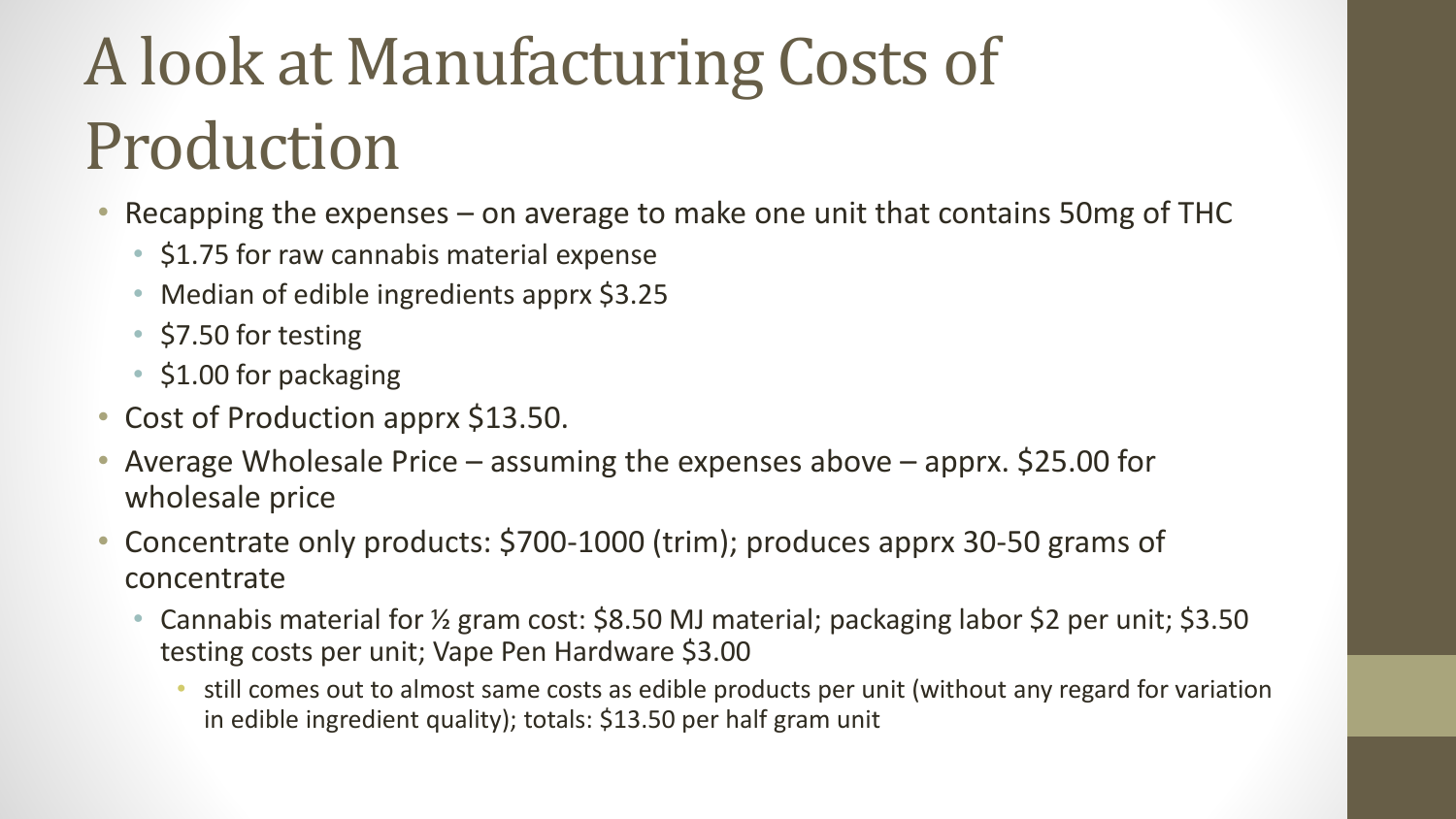# A look at Manufacturing Costs of Production

- Recapping the expenses on average to make one unit that contains 50mg of THC
	- \$1.75 for raw cannabis material expense
	- Median of edible ingredients apprx \$3.25
	- \$7.50 for testing
	- \$1.00 for packaging
- Cost of Production apprx \$13.50.
- Average Wholesale Price assuming the expenses above apprx. \$25.00 for wholesale price
- Concentrate only products: \$700-1000 (trim); produces apprx 30-50 grams of concentrate
	- Cannabis material for ½ gram cost: \$8.50 MJ material; packaging labor \$2 per unit; \$3.50 testing costs per unit; Vape Pen Hardware \$3.00
		- still comes out to almost same costs as edible products per unit (without any regard for variation in edible ingredient quality); totals: \$13.50 per half gram unit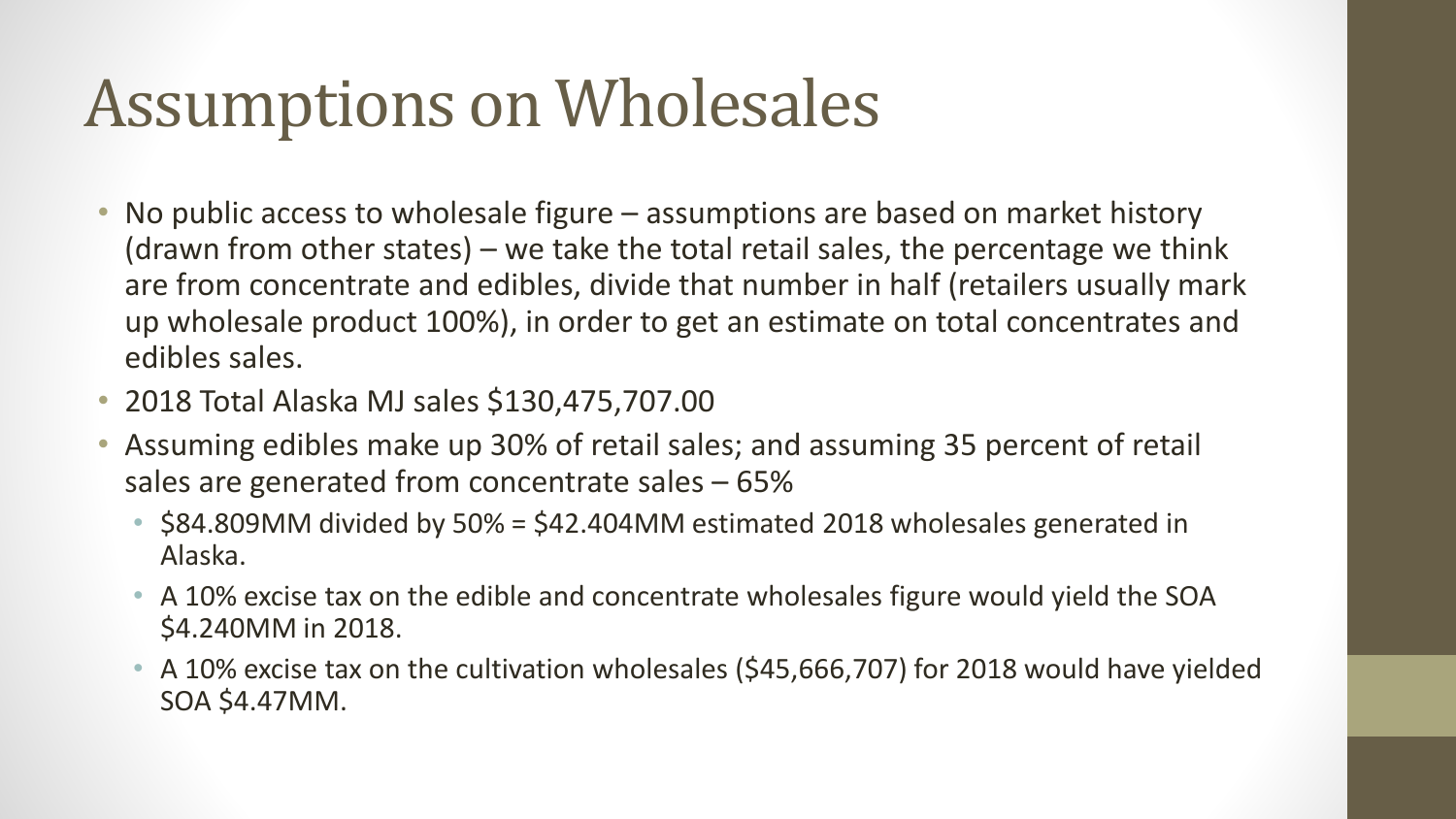### Assumptions on Wholesales

- No public access to wholesale figure assumptions are based on market history (drawn from other states) – we take the total retail sales, the percentage we think are from concentrate and edibles, divide that number in half (retailers usually mark up wholesale product 100%), in order to get an estimate on total concentrates and edibles sales.
- 2018 Total Alaska MJ sales \$130,475,707.00
- Assuming edibles make up 30% of retail sales; and assuming 35 percent of retail sales are generated from concentrate sales – 65%
	- \$84.809MM divided by 50% = \$42.404MM estimated 2018 wholesales generated in Alaska.
	- A 10% excise tax on the edible and concentrate wholesales figure would yield the SOA \$4.240MM in 2018.
	- A 10% excise tax on the cultivation wholesales (\$45,666,707) for 2018 would have yielded SOA \$4.47MM.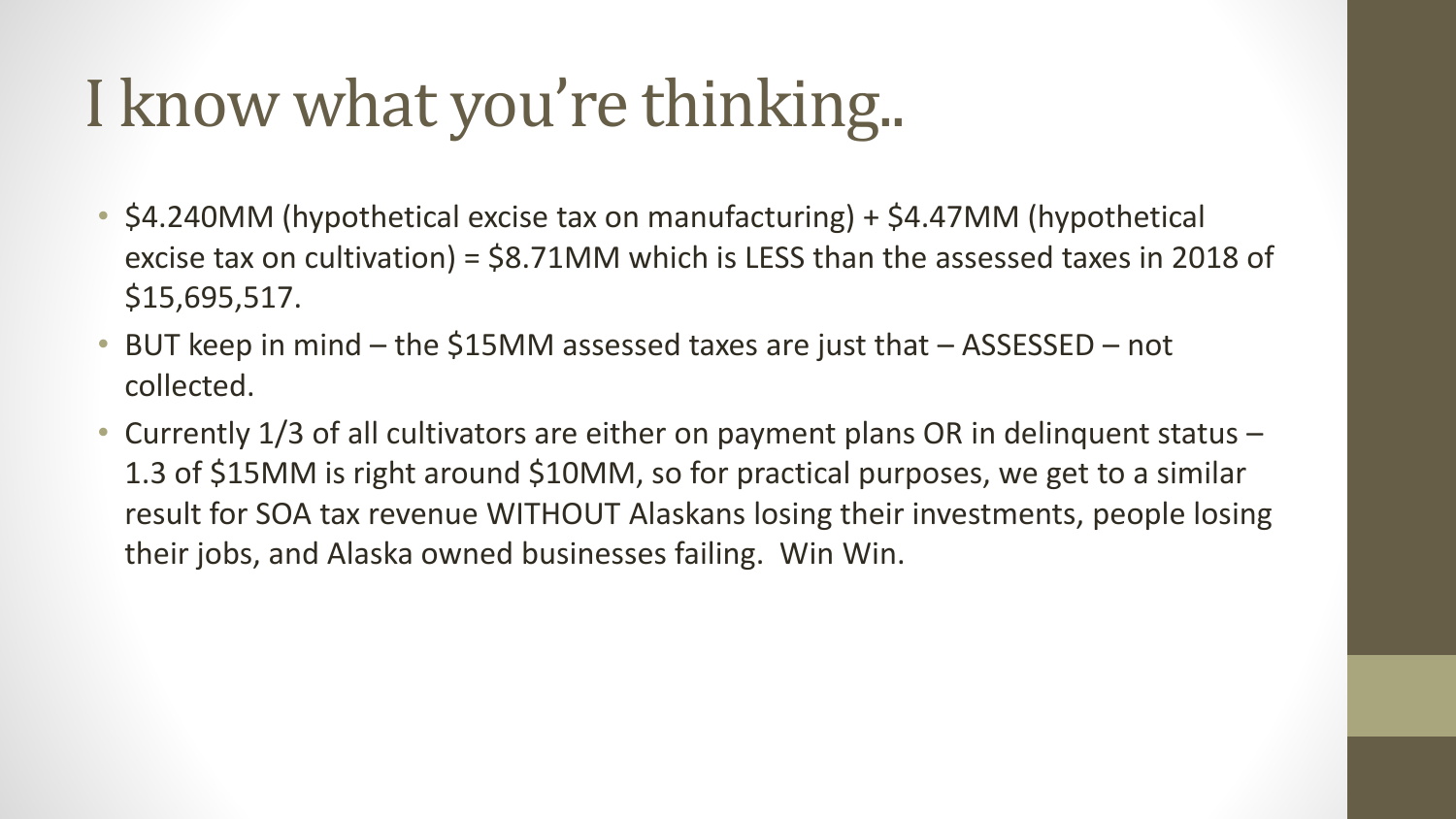## I know what you're thinking..

- \$4.240MM (hypothetical excise tax on manufacturing) + \$4.47MM (hypothetical excise tax on cultivation) = \$8.71MM which is LESS than the assessed taxes in 2018 of \$15,695,517.
- BUT keep in mind the \$15MM assessed taxes are just that ASSESSED not collected.
- Currently 1/3 of all cultivators are either on payment plans OR in delinquent status 1.3 of \$15MM is right around \$10MM, so for practical purposes, we get to a similar result for SOA tax revenue WITHOUT Alaskans losing their investments, people losing their jobs, and Alaska owned businesses failing. Win Win.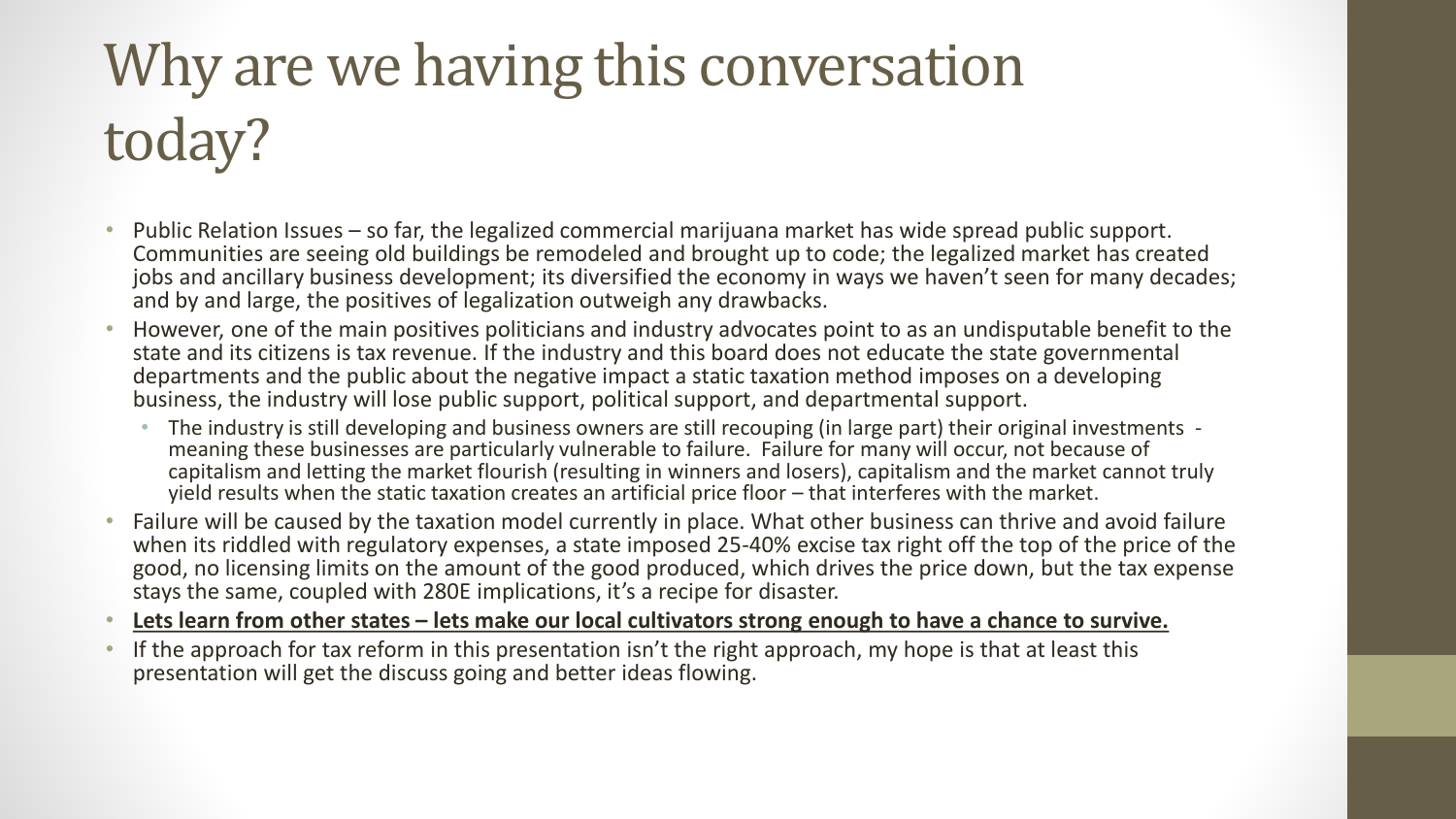## Why are we having this conversation today?

- Public Relation Issues so far, the legalized commercial marijuana market has wide spread public support. Communities are seeing old buildings be remodeled and brought up to code; the legalized market has created jobs and ancillary business development; its diversified the economy in ways we haven't seen for many decades; and by and large, the positives of legalization outweigh any drawbacks.
- However, one of the main positives politicians and industry advocates point to as an undisputable benefit to the state and its citizens is tax revenue. If the industry and this board does not educate the state governmental departments and the public about the negative impact a static taxation method imposes on a developing business, the industry will lose public support, political support, and departmental support.
	- The industry is still developing and business owners are still recouping (in large part) their original investments meaning these businesses are particularly vulnerable to failure. Failure for many will occur, not because of capitalism and letting the market flourish (resulting in winners and losers), capitalism and the market cannot truly yield results when the static taxation creates an artificial price floor – that interferes with the market.
- Failure will be caused by the taxation model currently in place. What other business can thrive and avoid failure when its riddled with regulatory expenses, a state imposed 25-40% excise tax right off the top of the price of the good, no licensing limits on the amount of the good produced, which drives the price down, but the tax expense stays the same, coupled with 280E implications, it's a recipe for disaster.
- **Lets learn from other states – lets make our local cultivators strong enough to have a chance to survive.**
- If the approach for tax reform in this presentation isn't the right approach, my hope is that at least this presentation will get the discuss going and better ideas flowing.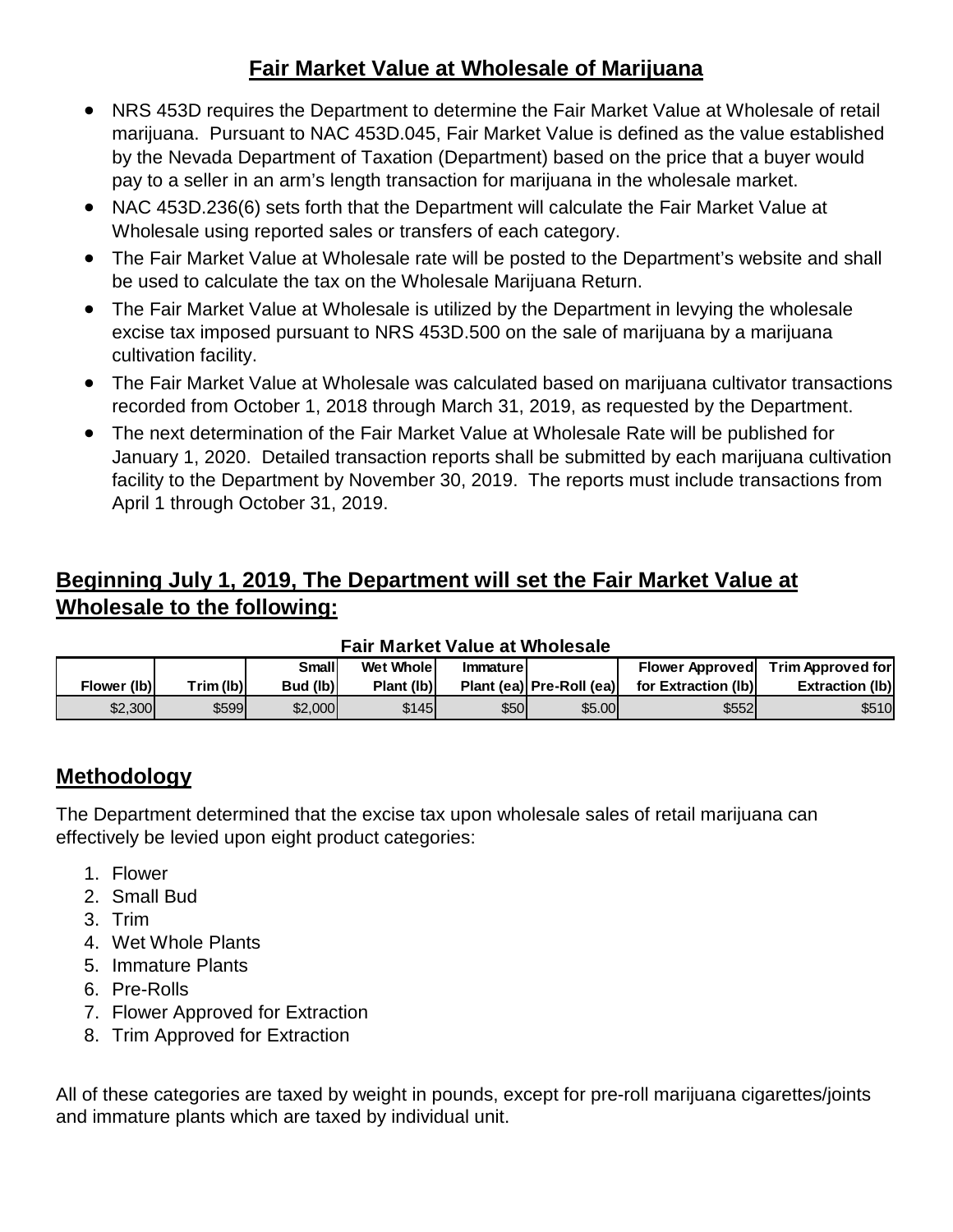#### **Fair Market Value at Wholesale of Marijuana**

- NRS 453D requires the Department to determine the Fair Market Value at Wholesale of retail marijuana. Pursuant to NAC 453D.045, Fair Market Value is defined as the value established by the Nevada Department of Taxation (Department) based on the price that a buyer would pay to a seller in an arm's length transaction for marijuana in the wholesale market.
- NAC 453D.236(6) sets forth that the Department will calculate the Fair Market Value at Wholesale using reported sales or transfers of each category.
- The Fair Market Value at Wholesale rate will be posted to the Department's website and shall be used to calculate the tax on the Wholesale Marijuana Return.
- The Fair Market Value at Wholesale is utilized by the Department in levying the wholesale excise tax imposed pursuant to NRS 453D.500 on the sale of marijuana by a marijuana cultivation facility.
- The Fair Market Value at Wholesale was calculated based on marijuana cultivator transactions recorded from October 1, 2018 through March 31, 2019, as requested by the Department.
- The next determination of the Fair Market Value at Wholesale Rate will be published for January 1, 2020. Detailed transaction reports shall be submitted by each marijuana cultivation facility to the Department by November 30, 2019. The reports must include transactions from April 1 through October 31, 2019.

#### **Beginning July 1, 2019, The Department will set the Fair Market Value at Wholesale to the following:**

| I AII MAI NGL VAIUG AL VIIIUIGSAIG |           |          |            |                 |                          |                        |                        |  |  |  |
|------------------------------------|-----------|----------|------------|-----------------|--------------------------|------------------------|------------------------|--|--|--|
|                                    |           | Smalll   | Wet Whole  | <b>Immature</b> |                          | <b>Flower Approved</b> | Trim Approved for      |  |  |  |
| Flower (lb)                        | Trim (lb) | Bud (lb) | Plant (lb) |                 | Plant (ea) Pre-Roll (ea) | for Extraction (lb)    | <b>Extraction (lb)</b> |  |  |  |
| \$2,300                            | \$599     | \$2,000  | \$145      | \$50            | \$5.00                   | <b>\$5521</b>          | \$510                  |  |  |  |

#### **Fair Market Value at Wholesale**

#### **Methodology**

The Department determined that the excise tax upon wholesale sales of retail marijuana can effectively be levied upon eight product categories:

- 1. Flower
- 2. Small Bud
- 3. Trim
- 4. Wet Whole Plants
- 5. Immature Plants
- 6. Pre-Rolls
- 7. Flower Approved for Extraction
- 8. Trim Approved for Extraction

All of these categories are taxed by weight in pounds, except for pre-roll marijuana cigarettes/joints and immature plants which are taxed by individual unit.